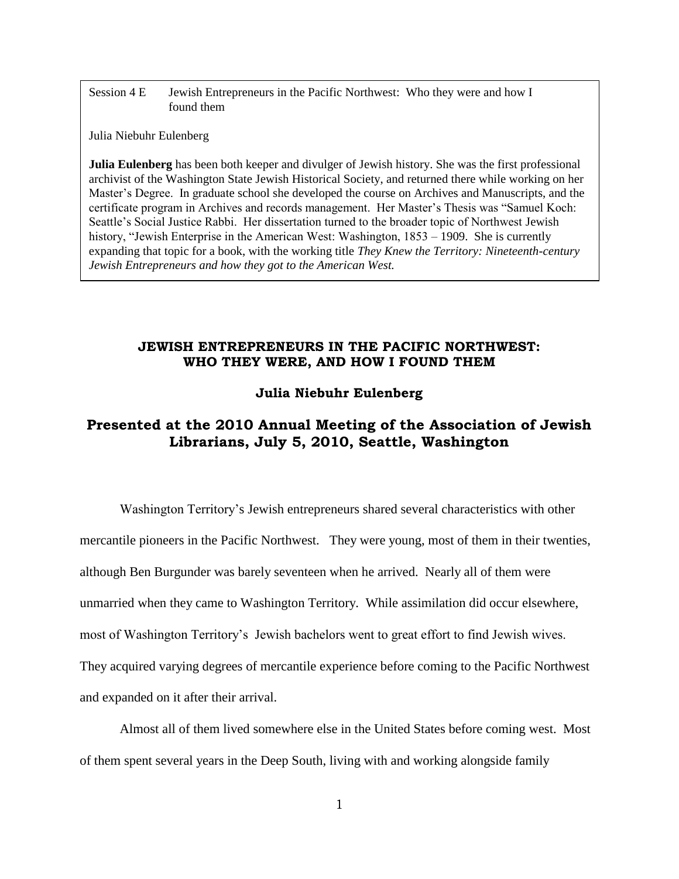Session 4 E Jewish Entrepreneurs in the Pacific Northwest: Who they were and how I found them

Julia Niebuhr Eulenberg

**Julia Eulenberg** has been both keeper and divulger of Jewish history. She was the first professional archivist of the Washington State Jewish Historical Society, and returned there while working on her Master's Degree. In graduate school she developed the course on Archives and Manuscripts, and the certificate program in Archives and records management. Her Master's Thesis was "Samuel Koch: Seattle's Social Justice Rabbi. Her dissertation turned to the broader topic of Northwest Jewish history, "Jewish Enterprise in the American West: Washington,  $1853 - 1909$ . She is currently expanding that topic for a book, with the working title *They Knew the Territory: Nineteenth-century Jewish Entrepreneurs and how they got to the American West.* 

## **JEWISH ENTREPRENEURS IN THE PACIFIC NORTHWEST: WHO THEY WERE, AND HOW I FOUND THEM**

## **Julia Niebuhr Eulenberg**

## **Presented at the 2010 Annual Meeting of the Association of Jewish Librarians, July 5, 2010, Seattle, Washington**

Washington Territory's Jewish entrepreneurs shared several characteristics with other mercantile pioneers in the Pacific Northwest. They were young, most of them in their twenties, although Ben Burgunder was barely seventeen when he arrived. Nearly all of them were unmarried when they came to Washington Territory. While assimilation did occur elsewhere, most of Washington Territory's Jewish bachelors went to great effort to find Jewish wives. They acquired varying degrees of mercantile experience before coming to the Pacific Northwest and expanded on it after their arrival.

Almost all of them lived somewhere else in the United States before coming west. Most of them spent several years in the Deep South, living with and working alongside family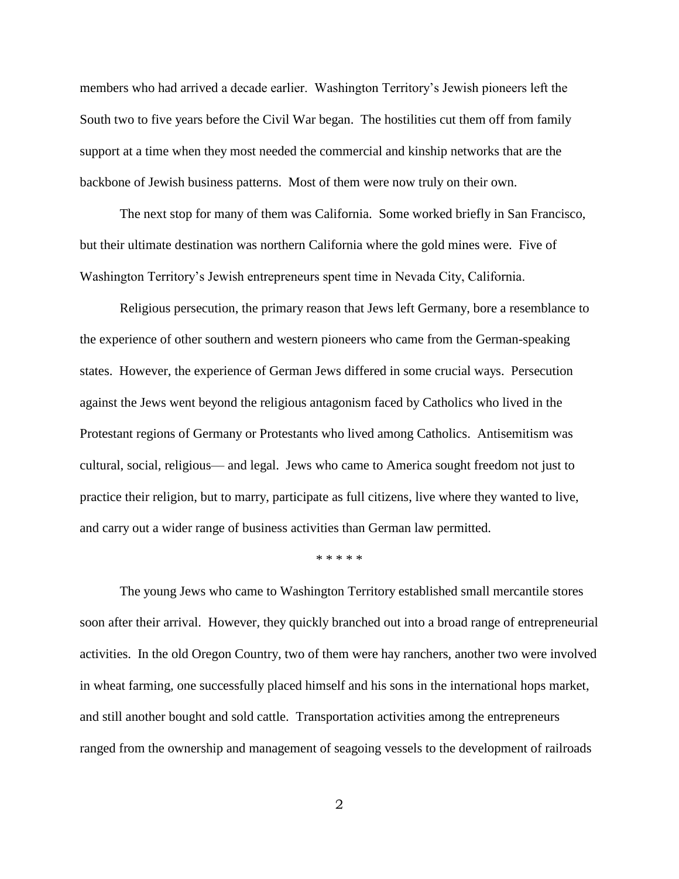members who had arrived a decade earlier. Washington Territory's Jewish pioneers left the South two to five years before the Civil War began. The hostilities cut them off from family support at a time when they most needed the commercial and kinship networks that are the backbone of Jewish business patterns. Most of them were now truly on their own.

The next stop for many of them was California. Some worked briefly in San Francisco, but their ultimate destination was northern California where the gold mines were. Five of Washington Territory's Jewish entrepreneurs spent time in Nevada City, California.

Religious persecution, the primary reason that Jews left Germany, bore a resemblance to the experience of other southern and western pioneers who came from the German-speaking states. However, the experience of German Jews differed in some crucial ways. Persecution against the Jews went beyond the religious antagonism faced by Catholics who lived in the Protestant regions of Germany or Protestants who lived among Catholics. Antisemitism was cultural, social, religious— and legal. Jews who came to America sought freedom not just to practice their religion, but to marry, participate as full citizens, live where they wanted to live, and carry out a wider range of business activities than German law permitted.

\* \* \* \* \*

The young Jews who came to Washington Territory established small mercantile stores soon after their arrival. However, they quickly branched out into a broad range of entrepreneurial activities. In the old Oregon Country, two of them were hay ranchers, another two were involved in wheat farming, one successfully placed himself and his sons in the international hops market, and still another bought and sold cattle. Transportation activities among the entrepreneurs ranged from the ownership and management of seagoing vessels to the development of railroads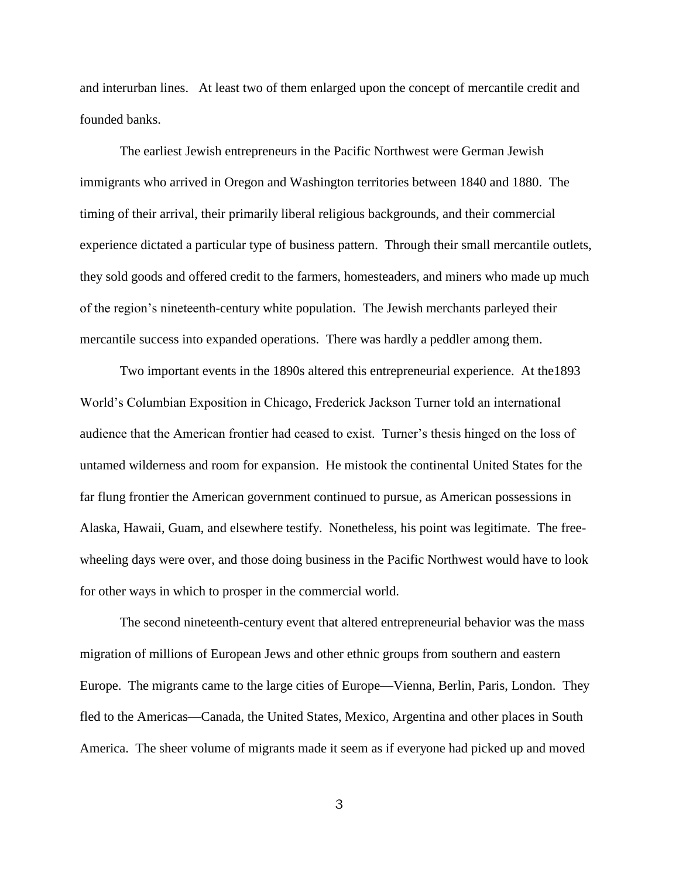and interurban lines. At least two of them enlarged upon the concept of mercantile credit and founded banks.

The earliest Jewish entrepreneurs in the Pacific Northwest were German Jewish immigrants who arrived in Oregon and Washington territories between 1840 and 1880. The timing of their arrival, their primarily liberal religious backgrounds, and their commercial experience dictated a particular type of business pattern. Through their small mercantile outlets, they sold goods and offered credit to the farmers, homesteaders, and miners who made up much of the region's nineteenth-century white population. The Jewish merchants parleyed their mercantile success into expanded operations. There was hardly a peddler among them.

Two important events in the 1890s altered this entrepreneurial experience. At the1893 World's Columbian Exposition in Chicago, Frederick Jackson Turner told an international audience that the American frontier had ceased to exist. Turner's thesis hinged on the loss of untamed wilderness and room for expansion. He mistook the continental United States for the far flung frontier the American government continued to pursue, as American possessions in Alaska, Hawaii, Guam, and elsewhere testify. Nonetheless, his point was legitimate. The freewheeling days were over, and those doing business in the Pacific Northwest would have to look for other ways in which to prosper in the commercial world.

The second nineteenth-century event that altered entrepreneurial behavior was the mass migration of millions of European Jews and other ethnic groups from southern and eastern Europe. The migrants came to the large cities of Europe—Vienna, Berlin, Paris, London. They fled to the Americas—Canada, the United States, Mexico, Argentina and other places in South America. The sheer volume of migrants made it seem as if everyone had picked up and moved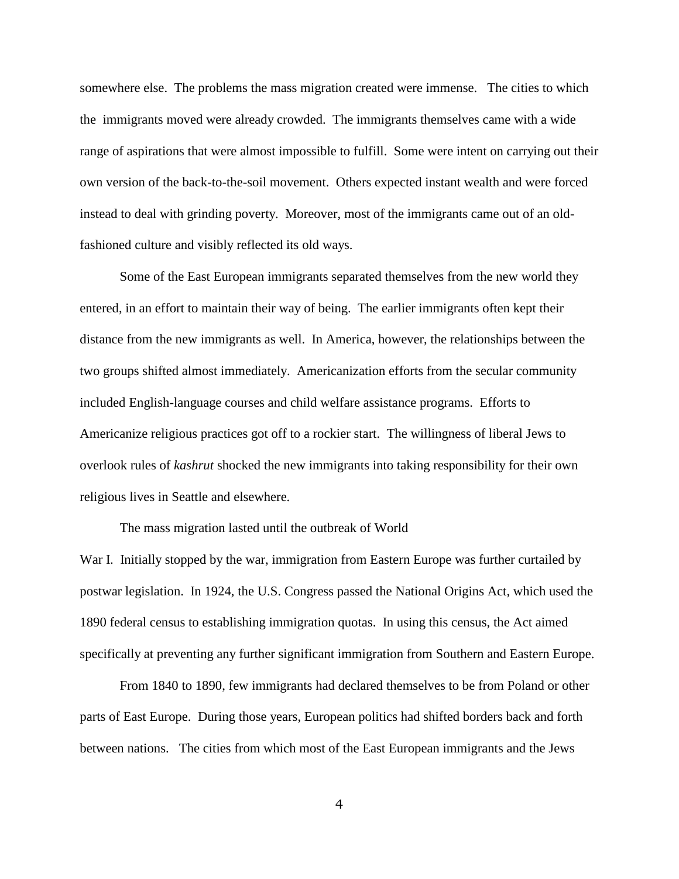somewhere else. The problems the mass migration created were immense. The cities to which the immigrants moved were already crowded. The immigrants themselves came with a wide range of aspirations that were almost impossible to fulfill. Some were intent on carrying out their own version of the back-to-the-soil movement. Others expected instant wealth and were forced instead to deal with grinding poverty. Moreover, most of the immigrants came out of an oldfashioned culture and visibly reflected its old ways.

Some of the East European immigrants separated themselves from the new world they entered, in an effort to maintain their way of being. The earlier immigrants often kept their distance from the new immigrants as well. In America, however, the relationships between the two groups shifted almost immediately. Americanization efforts from the secular community included English-language courses and child welfare assistance programs. Efforts to Americanize religious practices got off to a rockier start. The willingness of liberal Jews to overlook rules of *kashrut* shocked the new immigrants into taking responsibility for their own religious lives in Seattle and elsewhere.

The mass migration lasted until the outbreak of World

War I. Initially stopped by the war, immigration from Eastern Europe was further curtailed by postwar legislation. In 1924, the U.S. Congress passed the National Origins Act, which used the 1890 federal census to establishing immigration quotas. In using this census, the Act aimed specifically at preventing any further significant immigration from Southern and Eastern Europe.

From 1840 to 1890, few immigrants had declared themselves to be from Poland or other parts of East Europe. During those years, European politics had shifted borders back and forth between nations. The cities from which most of the East European immigrants and the Jews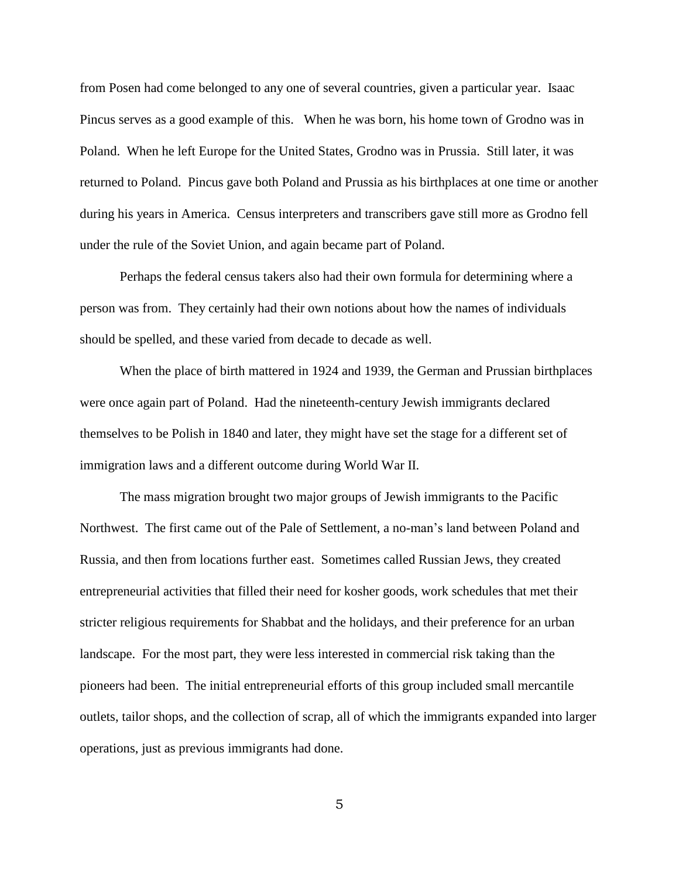from Posen had come belonged to any one of several countries, given a particular year. Isaac Pincus serves as a good example of this. When he was born, his home town of Grodno was in Poland. When he left Europe for the United States, Grodno was in Prussia. Still later, it was returned to Poland. Pincus gave both Poland and Prussia as his birthplaces at one time or another during his years in America. Census interpreters and transcribers gave still more as Grodno fell under the rule of the Soviet Union, and again became part of Poland.

Perhaps the federal census takers also had their own formula for determining where a person was from. They certainly had their own notions about how the names of individuals should be spelled, and these varied from decade to decade as well.

When the place of birth mattered in 1924 and 1939, the German and Prussian birthplaces were once again part of Poland. Had the nineteenth-century Jewish immigrants declared themselves to be Polish in 1840 and later, they might have set the stage for a different set of immigration laws and a different outcome during World War II.

The mass migration brought two major groups of Jewish immigrants to the Pacific Northwest. The first came out of the Pale of Settlement, a no-man's land between Poland and Russia, and then from locations further east. Sometimes called Russian Jews, they created entrepreneurial activities that filled their need for kosher goods, work schedules that met their stricter religious requirements for Shabbat and the holidays, and their preference for an urban landscape. For the most part, they were less interested in commercial risk taking than the pioneers had been. The initial entrepreneurial efforts of this group included small mercantile outlets, tailor shops, and the collection of scrap, all of which the immigrants expanded into larger operations, just as previous immigrants had done.

5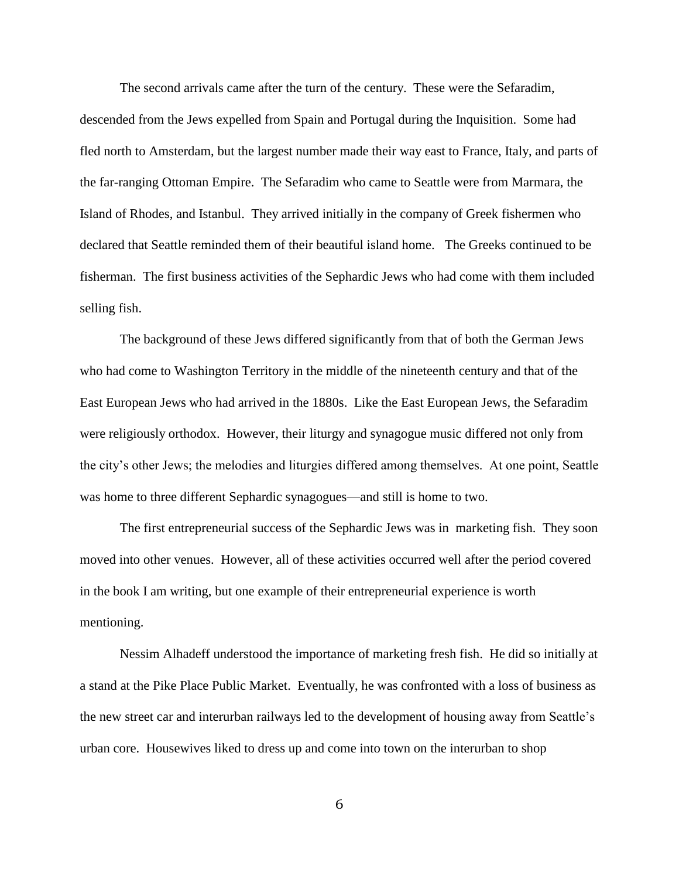The second arrivals came after the turn of the century. These were the Sefaradim, descended from the Jews expelled from Spain and Portugal during the Inquisition. Some had fled north to Amsterdam, but the largest number made their way east to France, Italy, and parts of the far-ranging Ottoman Empire. The Sefaradim who came to Seattle were from Marmara, the Island of Rhodes, and Istanbul. They arrived initially in the company of Greek fishermen who declared that Seattle reminded them of their beautiful island home. The Greeks continued to be fisherman. The first business activities of the Sephardic Jews who had come with them included selling fish.

The background of these Jews differed significantly from that of both the German Jews who had come to Washington Territory in the middle of the nineteenth century and that of the East European Jews who had arrived in the 1880s. Like the East European Jews, the Sefaradim were religiously orthodox. However, their liturgy and synagogue music differed not only from the city's other Jews; the melodies and liturgies differed among themselves. At one point, Seattle was home to three different Sephardic synagogues—and still is home to two.

The first entrepreneurial success of the Sephardic Jews was in marketing fish. They soon moved into other venues. However, all of these activities occurred well after the period covered in the book I am writing, but one example of their entrepreneurial experience is worth mentioning.

Nessim Alhadeff understood the importance of marketing fresh fish. He did so initially at a stand at the Pike Place Public Market. Eventually, he was confronted with a loss of business as the new street car and interurban railways led to the development of housing away from Seattle's urban core. Housewives liked to dress up and come into town on the interurban to shop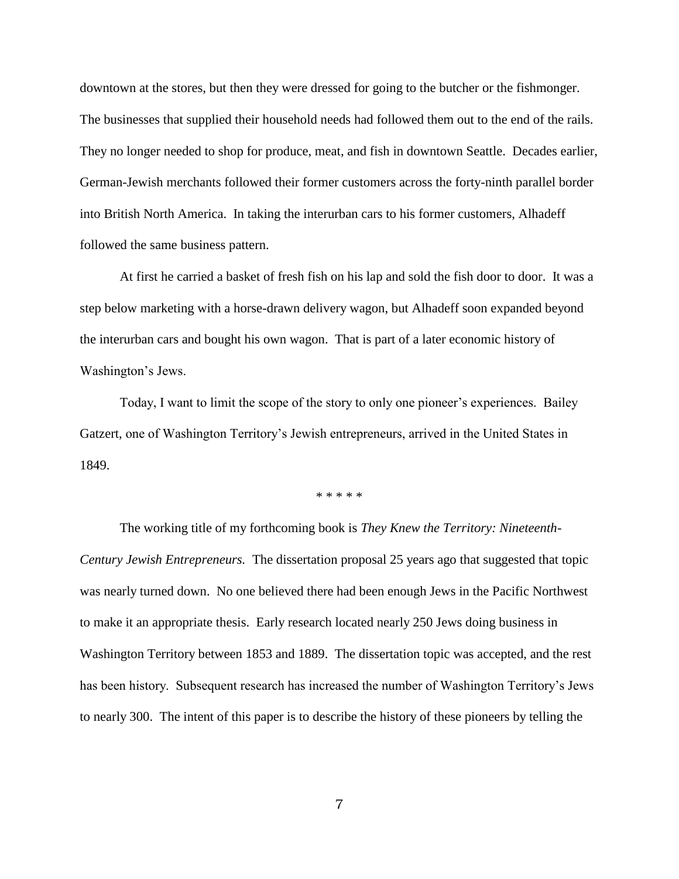downtown at the stores, but then they were dressed for going to the butcher or the fishmonger. The businesses that supplied their household needs had followed them out to the end of the rails. They no longer needed to shop for produce, meat, and fish in downtown Seattle. Decades earlier, German-Jewish merchants followed their former customers across the forty-ninth parallel border into British North America. In taking the interurban cars to his former customers, Alhadeff followed the same business pattern.

At first he carried a basket of fresh fish on his lap and sold the fish door to door. It was a step below marketing with a horse-drawn delivery wagon, but Alhadeff soon expanded beyond the interurban cars and bought his own wagon. That is part of a later economic history of Washington's Jews.

Today, I want to limit the scope of the story to only one pioneer's experiences. Bailey Gatzert, one of Washington Territory's Jewish entrepreneurs, arrived in the United States in 1849.

\* \* \* \* \*

The working title of my forthcoming book is *They Knew the Territory: Nineteenth-Century Jewish Entrepreneurs.* The dissertation proposal 25 years ago that suggested that topic was nearly turned down. No one believed there had been enough Jews in the Pacific Northwest to make it an appropriate thesis. Early research located nearly 250 Jews doing business in Washington Territory between 1853 and 1889. The dissertation topic was accepted, and the rest has been history. Subsequent research has increased the number of Washington Territory's Jews to nearly 300. The intent of this paper is to describe the history of these pioneers by telling the

7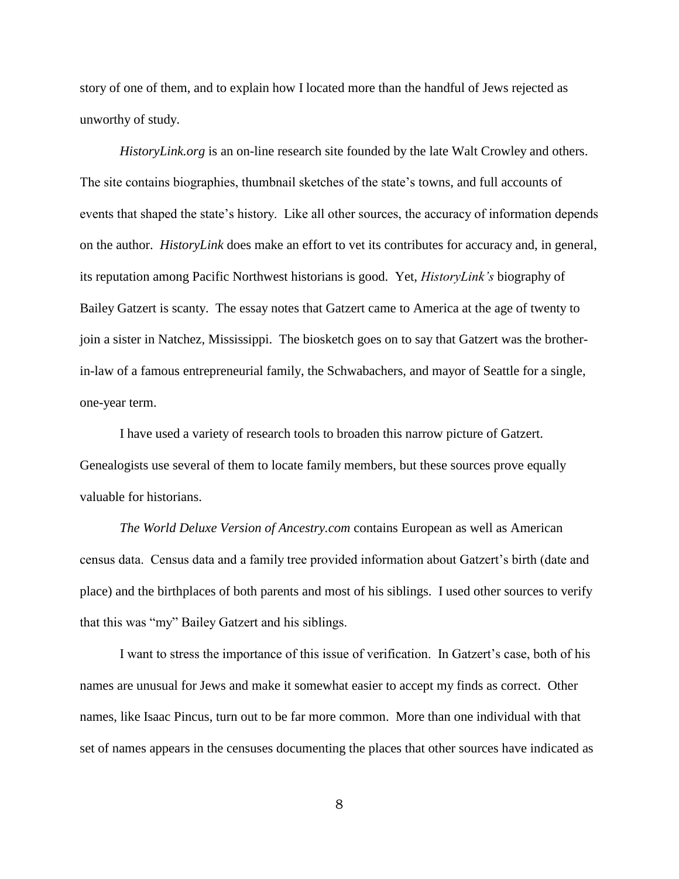story of one of them, and to explain how I located more than the handful of Jews rejected as unworthy of study.

*HistoryLink.org* is an on-line research site founded by the late Walt Crowley and others. The site contains biographies, thumbnail sketches of the state's towns, and full accounts of events that shaped the state's history. Like all other sources, the accuracy of information depends on the author. *HistoryLink* does make an effort to vet its contributes for accuracy and, in general, its reputation among Pacific Northwest historians is good. Yet, *HistoryLink's* biography of Bailey Gatzert is scanty. The essay notes that Gatzert came to America at the age of twenty to join a sister in Natchez, Mississippi. The biosketch goes on to say that Gatzert was the brotherin-law of a famous entrepreneurial family, the Schwabachers, and mayor of Seattle for a single, one-year term.

I have used a variety of research tools to broaden this narrow picture of Gatzert. Genealogists use several of them to locate family members, but these sources prove equally valuable for historians.

*The World Deluxe Version of Ancestry.com* contains European as well as American census data. Census data and a family tree provided information about Gatzert's birth (date and place) and the birthplaces of both parents and most of his siblings. I used other sources to verify that this was "my" Bailey Gatzert and his siblings.

I want to stress the importance of this issue of verification. In Gatzert's case, both of his names are unusual for Jews and make it somewhat easier to accept my finds as correct. Other names, like Isaac Pincus, turn out to be far more common. More than one individual with that set of names appears in the censuses documenting the places that other sources have indicated as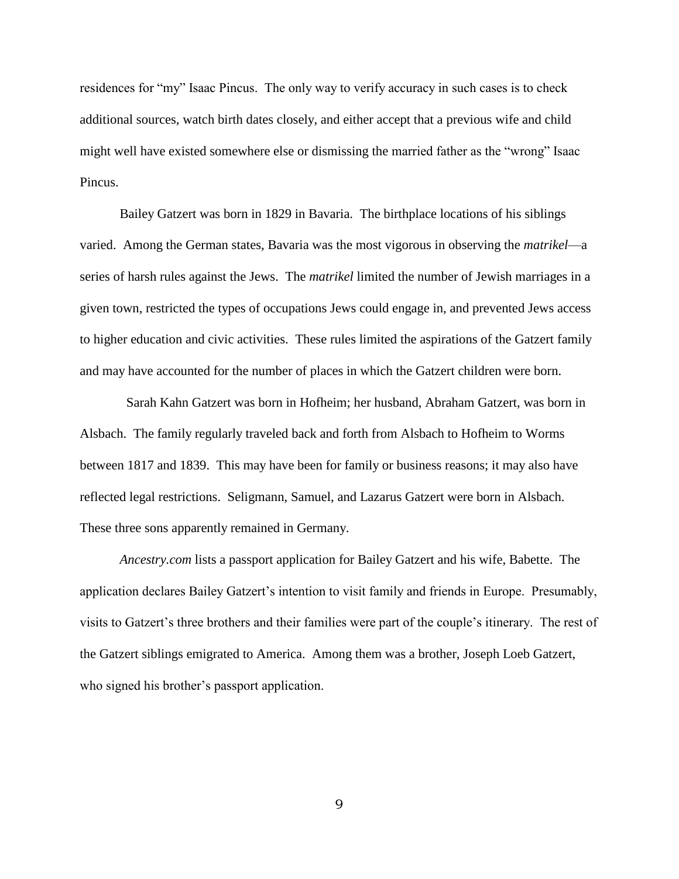residences for "my" Isaac Pincus. The only way to verify accuracy in such cases is to check additional sources, watch birth dates closely, and either accept that a previous wife and child might well have existed somewhere else or dismissing the married father as the "wrong" Isaac Pincus.

Bailey Gatzert was born in 1829 in Bavaria. The birthplace locations of his siblings varied. Among the German states, Bavaria was the most vigorous in observing the *matrikel*—a series of harsh rules against the Jews. The *matrikel* limited the number of Jewish marriages in a given town, restricted the types of occupations Jews could engage in, and prevented Jews access to higher education and civic activities. These rules limited the aspirations of the Gatzert family and may have accounted for the number of places in which the Gatzert children were born.

 Sarah Kahn Gatzert was born in Hofheim; her husband, Abraham Gatzert, was born in Alsbach. The family regularly traveled back and forth from Alsbach to Hofheim to Worms between 1817 and 1839. This may have been for family or business reasons; it may also have reflected legal restrictions. Seligmann, Samuel, and Lazarus Gatzert were born in Alsbach. These three sons apparently remained in Germany.

*Ancestry.com* lists a passport application for Bailey Gatzert and his wife, Babette. The application declares Bailey Gatzert's intention to visit family and friends in Europe. Presumably, visits to Gatzert's three brothers and their families were part of the couple's itinerary. The rest of the Gatzert siblings emigrated to America. Among them was a brother, Joseph Loeb Gatzert, who signed his brother's passport application.

9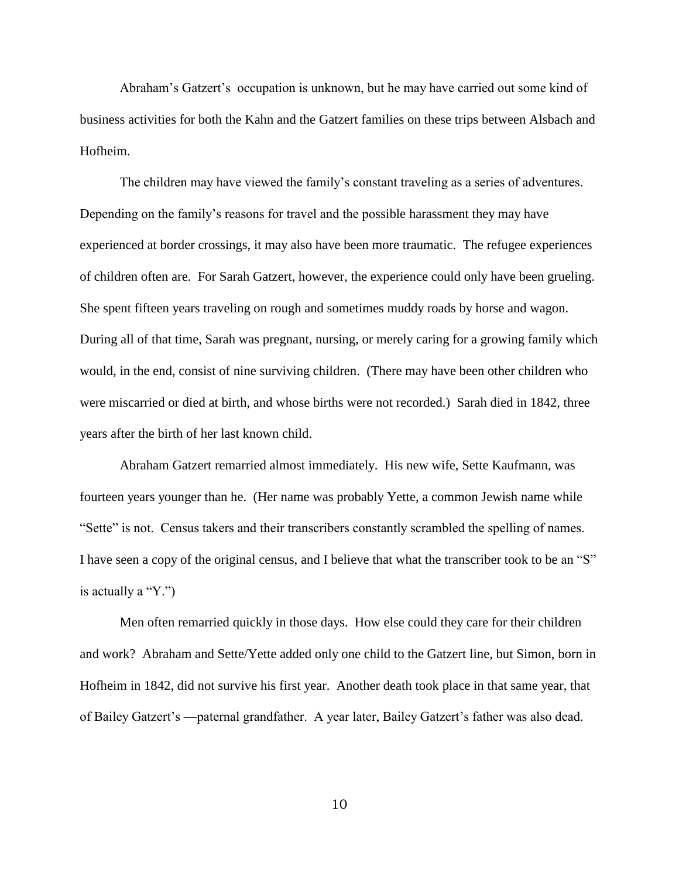Abraham's Gatzert's occupation is unknown, but he may have carried out some kind of business activities for both the Kahn and the Gatzert families on these trips between Alsbach and Hofheim.

The children may have viewed the family's constant traveling as a series of adventures. Depending on the family's reasons for travel and the possible harassment they may have experienced at border crossings, it may also have been more traumatic. The refugee experiences of children often are. For Sarah Gatzert, however, the experience could only have been grueling. She spent fifteen years traveling on rough and sometimes muddy roads by horse and wagon. During all of that time, Sarah was pregnant, nursing, or merely caring for a growing family which would, in the end, consist of nine surviving children. (There may have been other children who were miscarried or died at birth, and whose births were not recorded.) Sarah died in 1842, three years after the birth of her last known child.

Abraham Gatzert remarried almost immediately. His new wife, Sette Kaufmann, was fourteen years younger than he. (Her name was probably Yette, a common Jewish name while ―Sette‖ is not. Census takers and their transcribers constantly scrambled the spelling of names. I have seen a copy of the original census, and I believe that what the transcriber took to be an "S" is actually a " $Y$ ."

Men often remarried quickly in those days. How else could they care for their children and work? Abraham and Sette/Yette added only one child to the Gatzert line, but Simon, born in Hofheim in 1842, did not survive his first year. Another death took place in that same year, that of Bailey Gatzert's —paternal grandfather. A year later, Bailey Gatzert's father was also dead.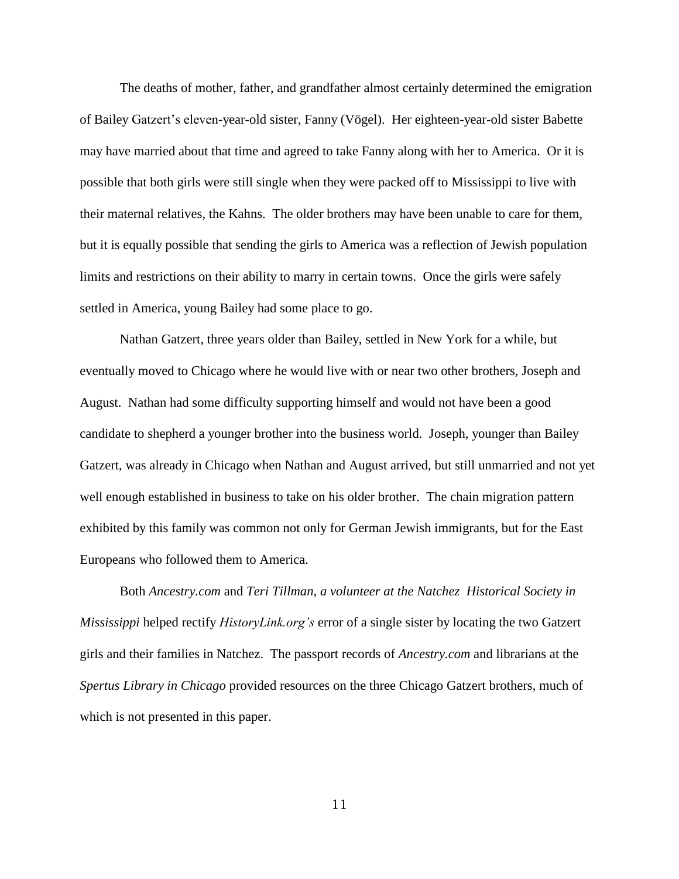The deaths of mother, father, and grandfather almost certainly determined the emigration of Bailey Gatzert's eleven-year-old sister, Fanny (Vögel). Her eighteen-year-old sister Babette may have married about that time and agreed to take Fanny along with her to America. Or it is possible that both girls were still single when they were packed off to Mississippi to live with their maternal relatives, the Kahns. The older brothers may have been unable to care for them, but it is equally possible that sending the girls to America was a reflection of Jewish population limits and restrictions on their ability to marry in certain towns. Once the girls were safely settled in America, young Bailey had some place to go.

Nathan Gatzert, three years older than Bailey, settled in New York for a while, but eventually moved to Chicago where he would live with or near two other brothers, Joseph and August. Nathan had some difficulty supporting himself and would not have been a good candidate to shepherd a younger brother into the business world. Joseph, younger than Bailey Gatzert, was already in Chicago when Nathan and August arrived, but still unmarried and not yet well enough established in business to take on his older brother. The chain migration pattern exhibited by this family was common not only for German Jewish immigrants, but for the East Europeans who followed them to America.

Both *Ancestry.com* and *Teri Tillman, a volunteer at the Natchez Historical Society in Mississippi* helped rectify *HistoryLink.org's* error of a single sister by locating the two Gatzert girls and their families in Natchez. The passport records of *Ancestry.com* and librarians at the *Spertus Library in Chicago* provided resources on the three Chicago Gatzert brothers, much of which is not presented in this paper.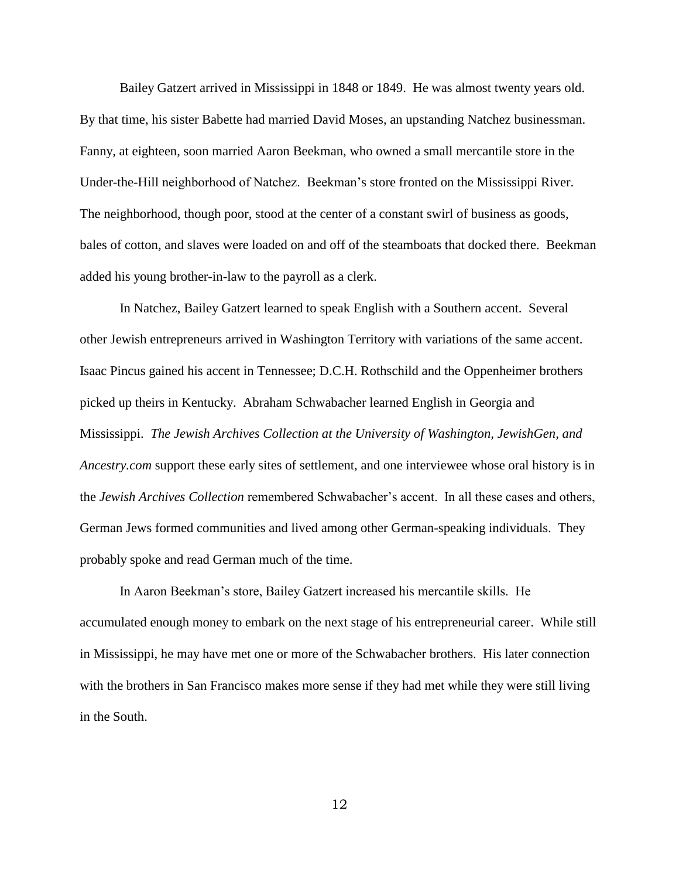Bailey Gatzert arrived in Mississippi in 1848 or 1849. He was almost twenty years old. By that time, his sister Babette had married David Moses, an upstanding Natchez businessman. Fanny, at eighteen, soon married Aaron Beekman, who owned a small mercantile store in the Under-the-Hill neighborhood of Natchez. Beekman's store fronted on the Mississippi River. The neighborhood, though poor, stood at the center of a constant swirl of business as goods, bales of cotton, and slaves were loaded on and off of the steamboats that docked there. Beekman added his young brother-in-law to the payroll as a clerk.

In Natchez, Bailey Gatzert learned to speak English with a Southern accent. Several other Jewish entrepreneurs arrived in Washington Territory with variations of the same accent. Isaac Pincus gained his accent in Tennessee; D.C.H. Rothschild and the Oppenheimer brothers picked up theirs in Kentucky. Abraham Schwabacher learned English in Georgia and Mississippi. *The Jewish Archives Collection at the University of Washington, JewishGen, and Ancestry.com* support these early sites of settlement, and one interviewee whose oral history is in the *Jewish Archives Collection* remembered Schwabacher's accent. In all these cases and others, German Jews formed communities and lived among other German-speaking individuals. They probably spoke and read German much of the time.

In Aaron Beekman's store, Bailey Gatzert increased his mercantile skills. He accumulated enough money to embark on the next stage of his entrepreneurial career. While still in Mississippi, he may have met one or more of the Schwabacher brothers. His later connection with the brothers in San Francisco makes more sense if they had met while they were still living in the South.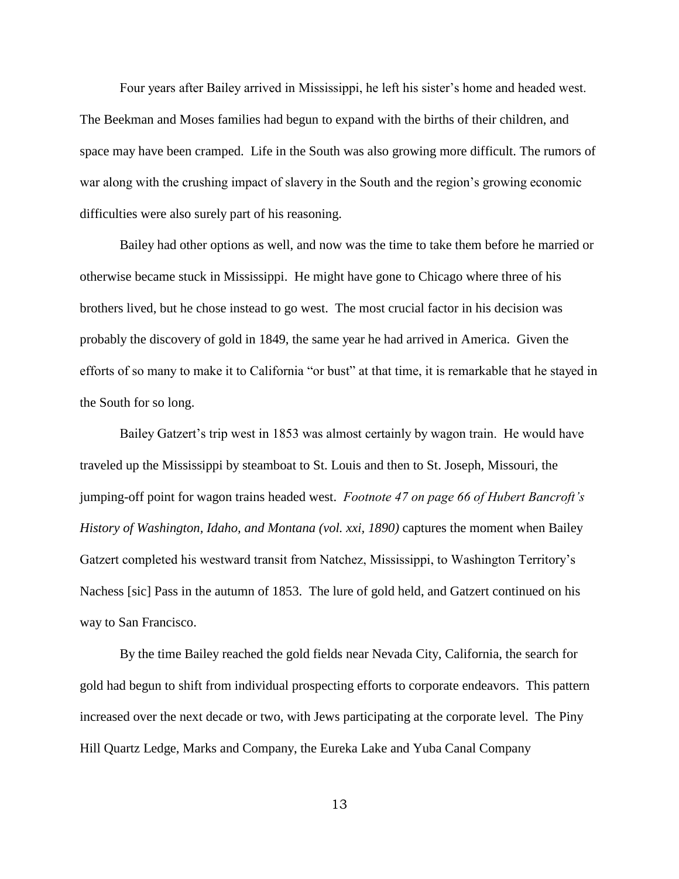Four years after Bailey arrived in Mississippi, he left his sister's home and headed west. The Beekman and Moses families had begun to expand with the births of their children, and space may have been cramped. Life in the South was also growing more difficult. The rumors of war along with the crushing impact of slavery in the South and the region's growing economic difficulties were also surely part of his reasoning.

Bailey had other options as well, and now was the time to take them before he married or otherwise became stuck in Mississippi. He might have gone to Chicago where three of his brothers lived, but he chose instead to go west. The most crucial factor in his decision was probably the discovery of gold in 1849, the same year he had arrived in America. Given the efforts of so many to make it to California "or bust" at that time, it is remarkable that he stayed in the South for so long.

Bailey Gatzert's trip west in 1853 was almost certainly by wagon train. He would have traveled up the Mississippi by steamboat to St. Louis and then to St. Joseph, Missouri, the jumping-off point for wagon trains headed west. *Footnote 47 on page 66 of Hubert Bancroft's History of Washington, Idaho, and Montana (vol. xxi, 1890)* captures the moment when Bailey Gatzert completed his westward transit from Natchez, Mississippi, to Washington Territory's Nachess [sic] Pass in the autumn of 1853. The lure of gold held, and Gatzert continued on his way to San Francisco.

By the time Bailey reached the gold fields near Nevada City, California, the search for gold had begun to shift from individual prospecting efforts to corporate endeavors. This pattern increased over the next decade or two, with Jews participating at the corporate level. The Piny Hill Quartz Ledge, Marks and Company, the Eureka Lake and Yuba Canal Company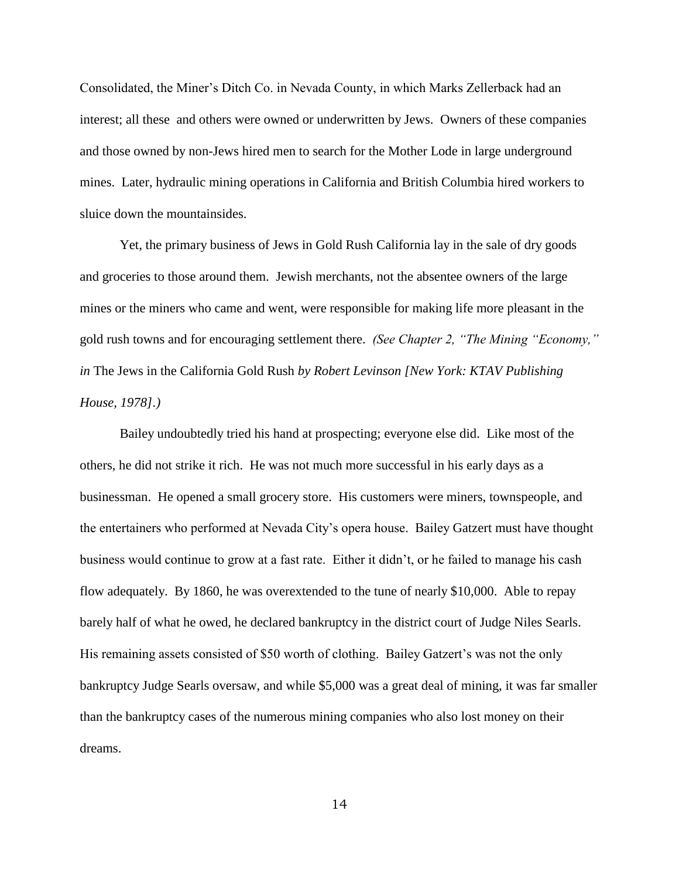Consolidated, the Miner's Ditch Co. in Nevada County, in which Marks Zellerback had an interest; all these and others were owned or underwritten by Jews. Owners of these companies and those owned by non-Jews hired men to search for the Mother Lode in large underground mines. Later, hydraulic mining operations in California and British Columbia hired workers to sluice down the mountainsides.

Yet, the primary business of Jews in Gold Rush California lay in the sale of dry goods and groceries to those around them. Jewish merchants, not the absentee owners of the large mines or the miners who came and went, were responsible for making life more pleasant in the gold rush towns and for encouraging settlement there. *(See Chapter 2, "The Mining "Economy," in* The Jews in the California Gold Rush *by Robert Levinson [New York: KTAV Publishing House, 1978].)*

Bailey undoubtedly tried his hand at prospecting; everyone else did. Like most of the others, he did not strike it rich. He was not much more successful in his early days as a businessman. He opened a small grocery store. His customers were miners, townspeople, and the entertainers who performed at Nevada City's opera house. Bailey Gatzert must have thought business would continue to grow at a fast rate. Either it didn't, or he failed to manage his cash flow adequately. By 1860, he was overextended to the tune of nearly \$10,000. Able to repay barely half of what he owed, he declared bankruptcy in the district court of Judge Niles Searls. His remaining assets consisted of \$50 worth of clothing. Bailey Gatzert's was not the only bankruptcy Judge Searls oversaw, and while \$5,000 was a great deal of mining, it was far smaller than the bankruptcy cases of the numerous mining companies who also lost money on their dreams.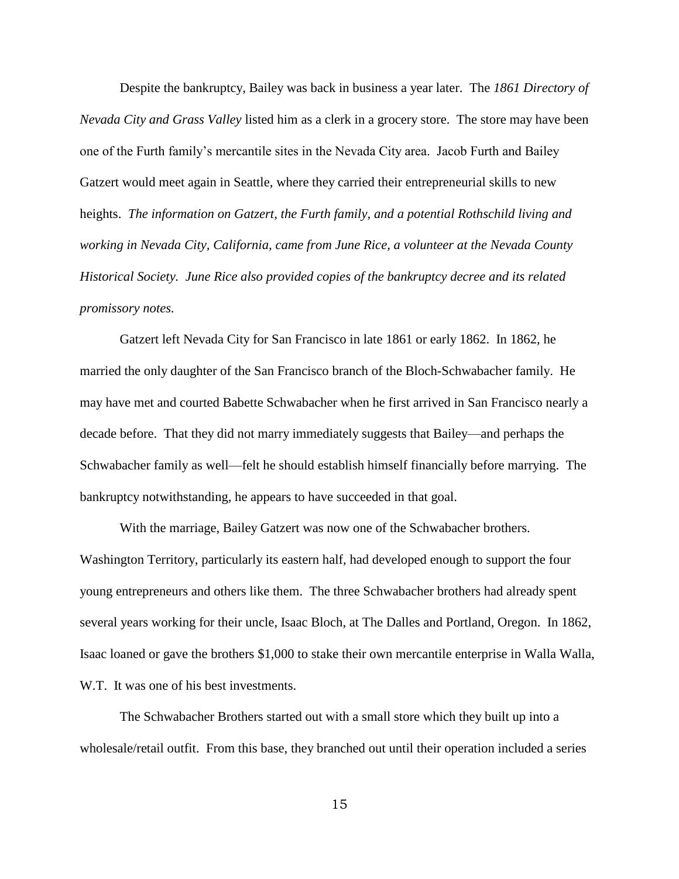Despite the bankruptcy, Bailey was back in business a year later. The *1861 Directory of Nevada City and Grass Valley* listed him as a clerk in a grocery store. The store may have been one of the Furth family's mercantile sites in the Nevada City area. Jacob Furth and Bailey Gatzert would meet again in Seattle, where they carried their entrepreneurial skills to new heights. *The information on Gatzert, the Furth family, and a potential Rothschild living and working in Nevada City, California, came from June Rice, a volunteer at the Nevada County Historical Society. June Rice also provided copies of the bankruptcy decree and its related promissory notes.* 

Gatzert left Nevada City for San Francisco in late 1861 or early 1862. In 1862, he married the only daughter of the San Francisco branch of the Bloch-Schwabacher family. He may have met and courted Babette Schwabacher when he first arrived in San Francisco nearly a decade before. That they did not marry immediately suggests that Bailey—and perhaps the Schwabacher family as well—felt he should establish himself financially before marrying. The bankruptcy notwithstanding, he appears to have succeeded in that goal.

With the marriage, Bailey Gatzert was now one of the Schwabacher brothers. Washington Territory, particularly its eastern half, had developed enough to support the four young entrepreneurs and others like them. The three Schwabacher brothers had already spent several years working for their uncle, Isaac Bloch, at The Dalles and Portland, Oregon. In 1862, Isaac loaned or gave the brothers \$1,000 to stake their own mercantile enterprise in Walla Walla, W.T. It was one of his best investments.

The Schwabacher Brothers started out with a small store which they built up into a wholesale/retail outfit. From this base, they branched out until their operation included a series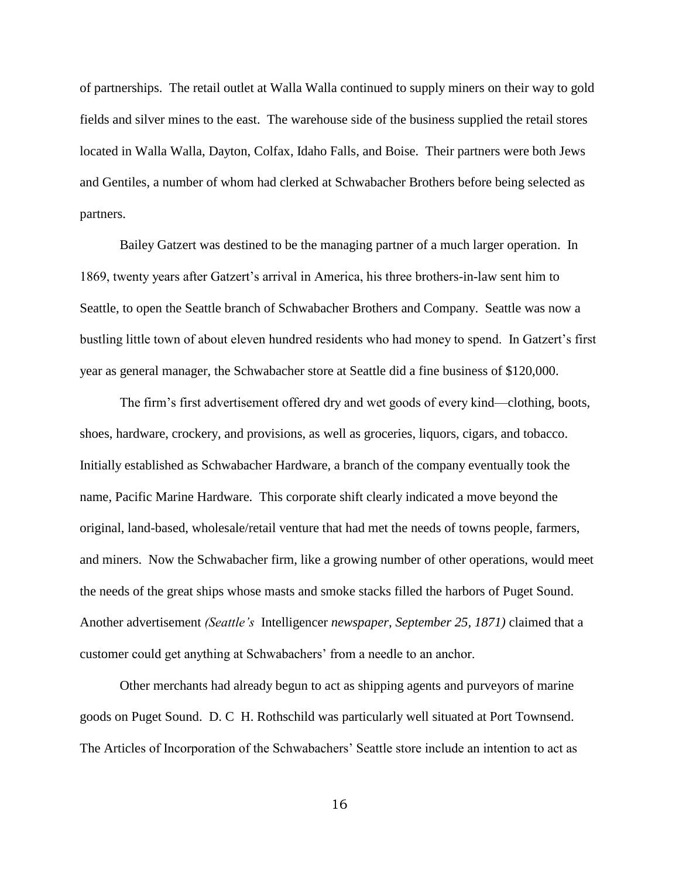of partnerships. The retail outlet at Walla Walla continued to supply miners on their way to gold fields and silver mines to the east. The warehouse side of the business supplied the retail stores located in Walla Walla, Dayton, Colfax, Idaho Falls, and Boise. Their partners were both Jews and Gentiles, a number of whom had clerked at Schwabacher Brothers before being selected as partners.

Bailey Gatzert was destined to be the managing partner of a much larger operation. In 1869, twenty years after Gatzert's arrival in America, his three brothers-in-law sent him to Seattle, to open the Seattle branch of Schwabacher Brothers and Company. Seattle was now a bustling little town of about eleven hundred residents who had money to spend. In Gatzert's first year as general manager, the Schwabacher store at Seattle did a fine business of \$120,000.

The firm's first advertisement offered dry and wet goods of every kind—clothing, boots, shoes, hardware, crockery, and provisions, as well as groceries, liquors, cigars, and tobacco. Initially established as Schwabacher Hardware, a branch of the company eventually took the name, Pacific Marine Hardware. This corporate shift clearly indicated a move beyond the original, land-based, wholesale/retail venture that had met the needs of towns people, farmers, and miners. Now the Schwabacher firm, like a growing number of other operations, would meet the needs of the great ships whose masts and smoke stacks filled the harbors of Puget Sound. Another advertisement *(Seattle's* Intelligencer *newspaper, September 25, 1871)* claimed that a customer could get anything at Schwabachers' from a needle to an anchor.

Other merchants had already begun to act as shipping agents and purveyors of marine goods on Puget Sound. D. C H. Rothschild was particularly well situated at Port Townsend. The Articles of Incorporation of the Schwabachers' Seattle store include an intention to act as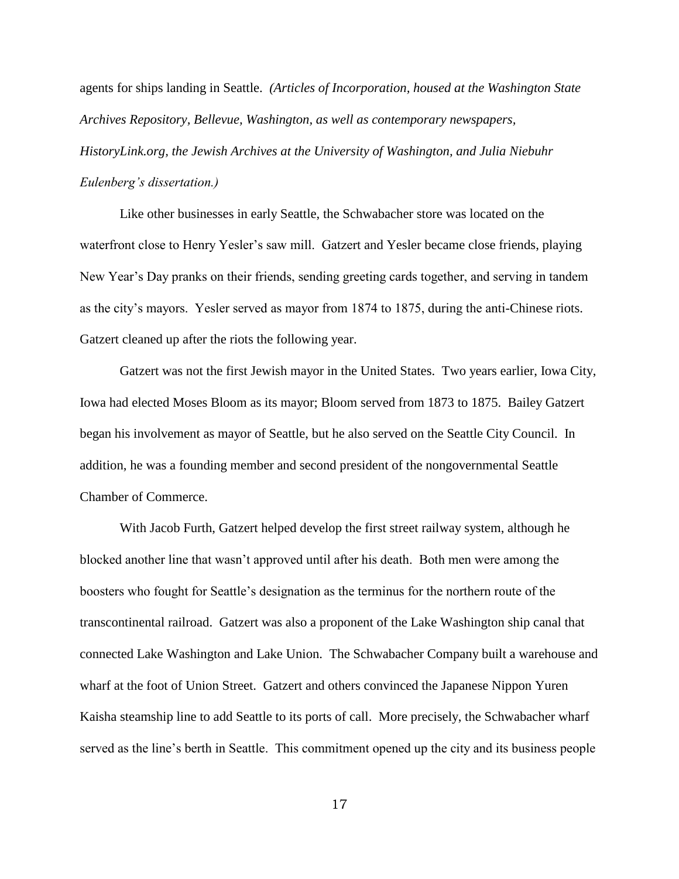agents for ships landing in Seattle. *(Articles of Incorporation, housed at the Washington State Archives Repository, Bellevue, Washington, as well as contemporary newspapers,* 

*HistoryLink.org, the Jewish Archives at the University of Washington, and Julia Niebuhr Eulenberg's dissertation.)* 

Like other businesses in early Seattle, the Schwabacher store was located on the waterfront close to Henry Yesler's saw mill. Gatzert and Yesler became close friends, playing New Year's Day pranks on their friends, sending greeting cards together, and serving in tandem as the city's mayors. Yesler served as mayor from 1874 to 1875, during the anti-Chinese riots. Gatzert cleaned up after the riots the following year.

Gatzert was not the first Jewish mayor in the United States. Two years earlier, Iowa City, Iowa had elected Moses Bloom as its mayor; Bloom served from 1873 to 1875. Bailey Gatzert began his involvement as mayor of Seattle, but he also served on the Seattle City Council. In addition, he was a founding member and second president of the nongovernmental Seattle Chamber of Commerce.

With Jacob Furth, Gatzert helped develop the first street railway system, although he blocked another line that wasn't approved until after his death. Both men were among the boosters who fought for Seattle's designation as the terminus for the northern route of the transcontinental railroad. Gatzert was also a proponent of the Lake Washington ship canal that connected Lake Washington and Lake Union. The Schwabacher Company built a warehouse and wharf at the foot of Union Street. Gatzert and others convinced the Japanese Nippon Yuren Kaisha steamship line to add Seattle to its ports of call. More precisely, the Schwabacher wharf served as the line's berth in Seattle. This commitment opened up the city and its business people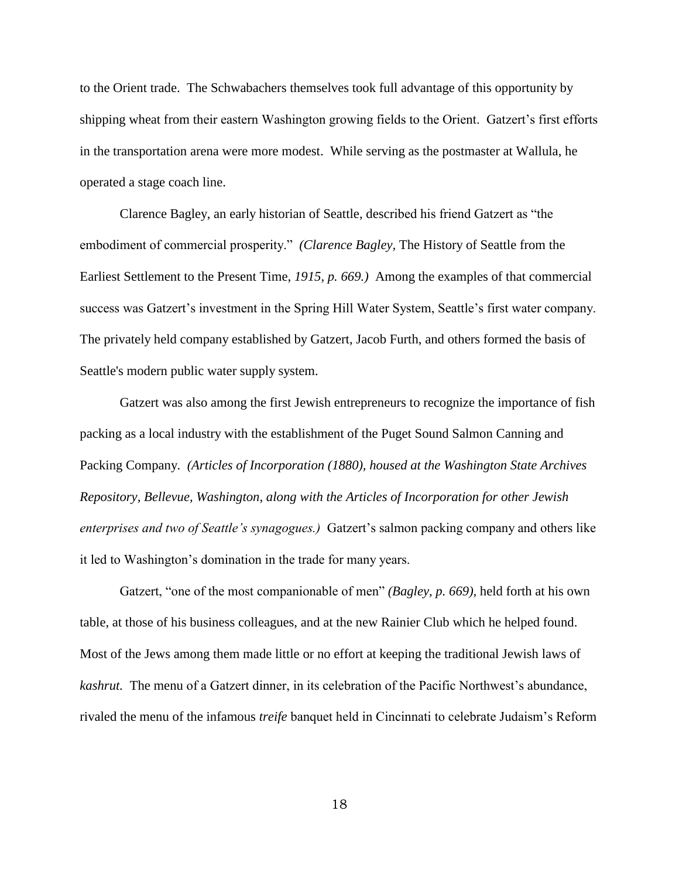to the Orient trade. The Schwabachers themselves took full advantage of this opportunity by shipping wheat from their eastern Washington growing fields to the Orient. Gatzert's first efforts in the transportation arena were more modest. While serving as the postmaster at Wallula, he operated a stage coach line.

Clarence Bagley, an early historian of Seattle, described his friend Gatzert as "the embodiment of commercial prosperity." *(Clarence Bagley, The History of Seattle from the* Earliest Settlement to the Present Time, *1915, p. 669.)* Among the examples of that commercial success was Gatzert's investment in the Spring Hill Water System, Seattle's first water company. The privately held company established by Gatzert, Jacob Furth, and others formed the basis of Seattle's modern public water supply system.

Gatzert was also among the first Jewish entrepreneurs to recognize the importance of fish packing as a local industry with the establishment of the Puget Sound Salmon Canning and Packing Company. *(Articles of Incorporation (1880), housed at the Washington State Archives Repository, Bellevue, Washington, along with the Articles of Incorporation for other Jewish enterprises and two of Seattle's synagogues.)* Gatzert's salmon packing company and others like it led to Washington's domination in the trade for many years.

Gatzert, "one of the most companionable of men" *(Bagley, p. 669)*, held forth at his own table, at those of his business colleagues, and at the new Rainier Club which he helped found. Most of the Jews among them made little or no effort at keeping the traditional Jewish laws of *kashrut.* The menu of a Gatzert dinner, in its celebration of the Pacific Northwest's abundance, rivaled the menu of the infamous *treife* banquet held in Cincinnati to celebrate Judaism's Reform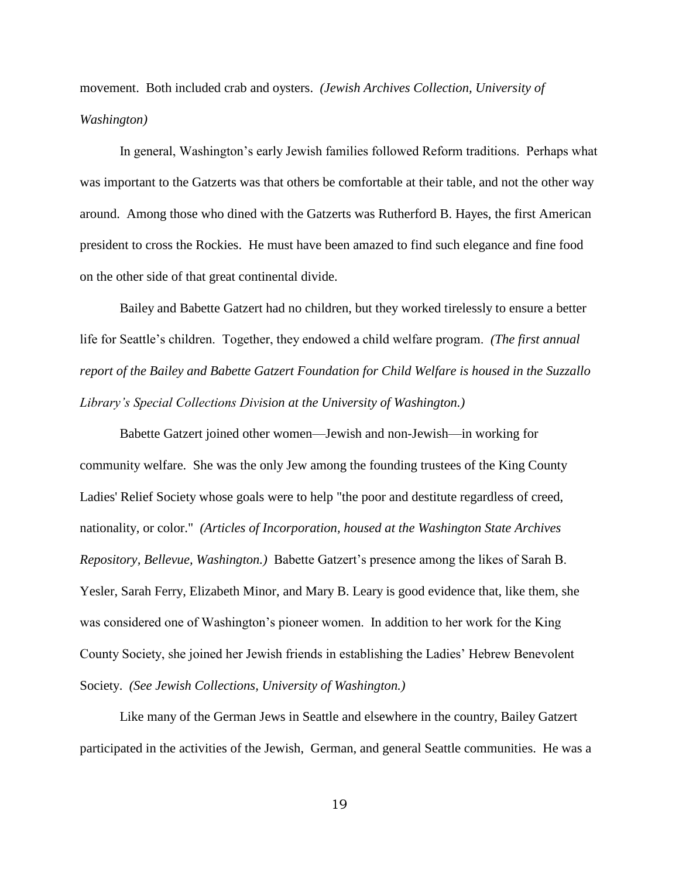movement. Both included crab and oysters. *(Jewish Archives Collection, University of Washington)* 

In general, Washington's early Jewish families followed Reform traditions. Perhaps what was important to the Gatzerts was that others be comfortable at their table, and not the other way around. Among those who dined with the Gatzerts was Rutherford B. Hayes, the first American president to cross the Rockies. He must have been amazed to find such elegance and fine food on the other side of that great continental divide.

Bailey and Babette Gatzert had no children, but they worked tirelessly to ensure a better life for Seattle's children. Together, they endowed a child welfare program. *(The first annual report of the Bailey and Babette Gatzert Foundation for Child Welfare is housed in the Suzzallo Library's Special Collections Division at the University of Washington.)* 

Babette Gatzert joined other women—Jewish and non-Jewish—in working for community welfare. She was the only Jew among the founding trustees of the King County Ladies' Relief Society whose goals were to help "the poor and destitute regardless of creed, nationality, or color." *(Articles of Incorporation, housed at the Washington State Archives Repository, Bellevue, Washington.)* Babette Gatzert's presence among the likes of Sarah B. Yesler, Sarah Ferry, Elizabeth Minor, and Mary B. Leary is good evidence that, like them, she was considered one of Washington's pioneer women. In addition to her work for the King County Society, she joined her Jewish friends in establishing the Ladies' Hebrew Benevolent Society. *(See Jewish Collections, University of Washington.)* 

Like many of the German Jews in Seattle and elsewhere in the country, Bailey Gatzert participated in the activities of the Jewish, German, and general Seattle communities. He was a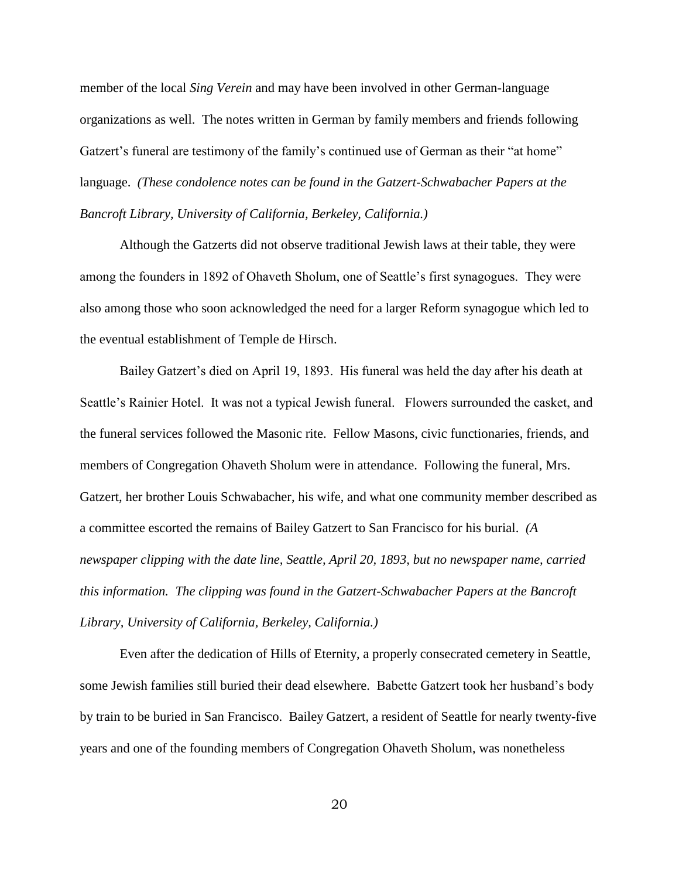member of the local *Sing Verein* and may have been involved in other German-language organizations as well. The notes written in German by family members and friends following Gatzert's funeral are testimony of the family's continued use of German as their "at home" language. *(These condolence notes can be found in the Gatzert-Schwabacher Papers at the Bancroft Library, University of California, Berkeley, California.)*

Although the Gatzerts did not observe traditional Jewish laws at their table, they were among the founders in 1892 of Ohaveth Sholum, one of Seattle's first synagogues. They were also among those who soon acknowledged the need for a larger Reform synagogue which led to the eventual establishment of Temple de Hirsch.

Bailey Gatzert's died on April 19, 1893. His funeral was held the day after his death at Seattle's Rainier Hotel. It was not a typical Jewish funeral. Flowers surrounded the casket, and the funeral services followed the Masonic rite. Fellow Masons, civic functionaries, friends, and members of Congregation Ohaveth Sholum were in attendance. Following the funeral, Mrs. Gatzert, her brother Louis Schwabacher, his wife, and what one community member described as a committee escorted the remains of Bailey Gatzert to San Francisco for his burial. *(A newspaper clipping with the date line, Seattle, April 20, 1893, but no newspaper name, carried this information. The clipping was found in the Gatzert-Schwabacher Papers at the Bancroft Library, University of California, Berkeley, California.)* 

Even after the dedication of Hills of Eternity, a properly consecrated cemetery in Seattle, some Jewish families still buried their dead elsewhere. Babette Gatzert took her husband's body by train to be buried in San Francisco. Bailey Gatzert, a resident of Seattle for nearly twenty-five years and one of the founding members of Congregation Ohaveth Sholum, was nonetheless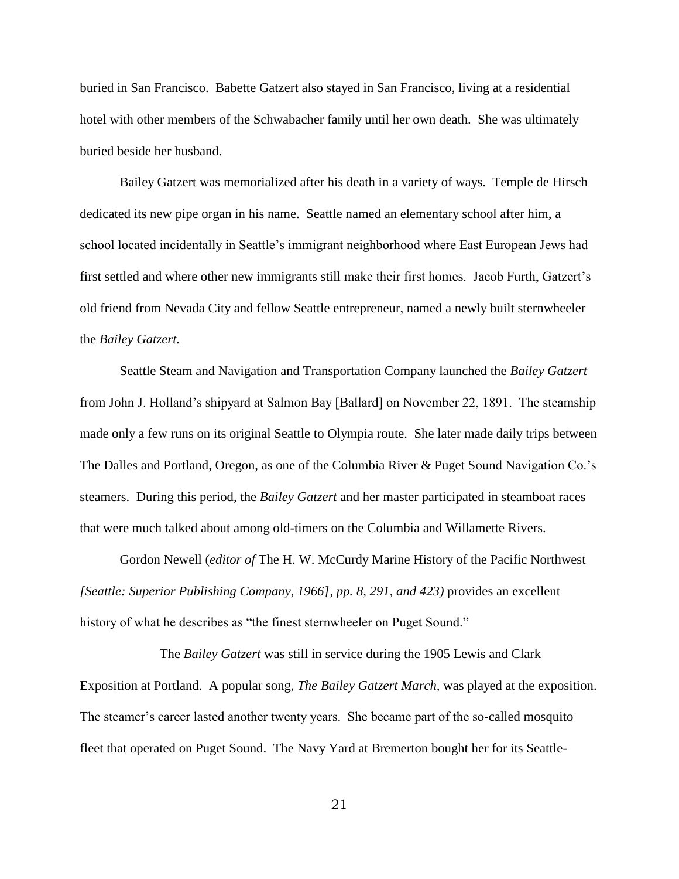buried in San Francisco. Babette Gatzert also stayed in San Francisco, living at a residential hotel with other members of the Schwabacher family until her own death. She was ultimately buried beside her husband.

Bailey Gatzert was memorialized after his death in a variety of ways. Temple de Hirsch dedicated its new pipe organ in his name. Seattle named an elementary school after him, a school located incidentally in Seattle's immigrant neighborhood where East European Jews had first settled and where other new immigrants still make their first homes. Jacob Furth, Gatzert's old friend from Nevada City and fellow Seattle entrepreneur, named a newly built sternwheeler the *Bailey Gatzert.* 

Seattle Steam and Navigation and Transportation Company launched the *Bailey Gatzert* from John J. Holland's shipyard at Salmon Bay [Ballard] on November 22, 1891. The steamship made only a few runs on its original Seattle to Olympia route. She later made daily trips between The Dalles and Portland, Oregon, as one of the Columbia River & Puget Sound Navigation Co.'s steamers. During this period, the *Bailey Gatzert* and her master participated in steamboat races that were much talked about among old-timers on the Columbia and Willamette Rivers.

Gordon Newell (*editor of* The H. W. McCurdy Marine History of the Pacific Northwest *[Seattle: Superior Publishing Company, 1966], pp. 8, 291, and 423)* provides an excellent history of what he describes as "the finest sternwheeler on Puget Sound."

The *Bailey Gatzert* was still in service during the 1905 Lewis and Clark Exposition at Portland. A popular song, *The Bailey Gatzert March,* was played at the exposition. The steamer's career lasted another twenty years. She became part of the so-called mosquito fleet that operated on Puget Sound. The Navy Yard at Bremerton bought her for its Seattle-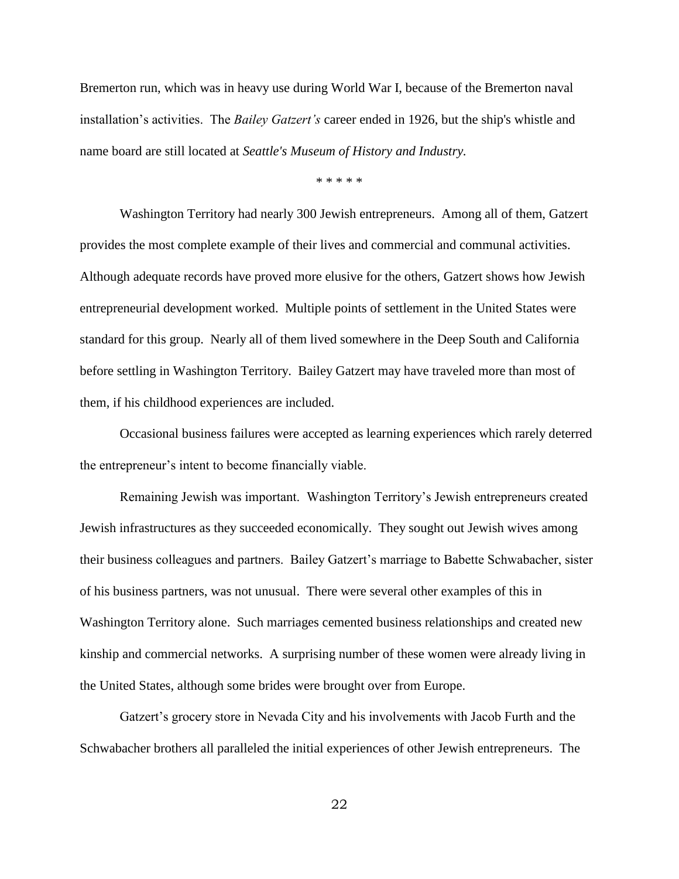Bremerton run, which was in heavy use during World War I, because of the Bremerton naval installation's activities. The *Bailey Gatzert's* career ended in 1926, but the ship's whistle and name board are still located at *Seattle's Museum of History and Industry.*

\* \* \* \* \*

Washington Territory had nearly 300 Jewish entrepreneurs. Among all of them, Gatzert provides the most complete example of their lives and commercial and communal activities. Although adequate records have proved more elusive for the others, Gatzert shows how Jewish entrepreneurial development worked. Multiple points of settlement in the United States were standard for this group. Nearly all of them lived somewhere in the Deep South and California before settling in Washington Territory. Bailey Gatzert may have traveled more than most of them, if his childhood experiences are included.

Occasional business failures were accepted as learning experiences which rarely deterred the entrepreneur's intent to become financially viable.

Remaining Jewish was important. Washington Territory's Jewish entrepreneurs created Jewish infrastructures as they succeeded economically. They sought out Jewish wives among their business colleagues and partners. Bailey Gatzert's marriage to Babette Schwabacher, sister of his business partners, was not unusual. There were several other examples of this in Washington Territory alone. Such marriages cemented business relationships and created new kinship and commercial networks. A surprising number of these women were already living in the United States, although some brides were brought over from Europe.

Gatzert's grocery store in Nevada City and his involvements with Jacob Furth and the Schwabacher brothers all paralleled the initial experiences of other Jewish entrepreneurs. The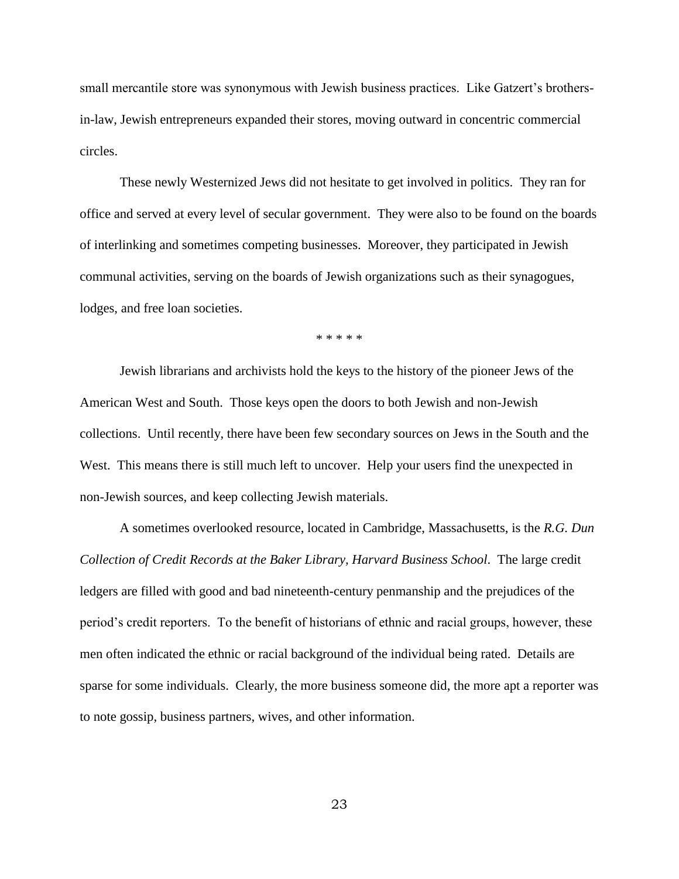small mercantile store was synonymous with Jewish business practices. Like Gatzert's brothersin-law, Jewish entrepreneurs expanded their stores, moving outward in concentric commercial circles.

These newly Westernized Jews did not hesitate to get involved in politics. They ran for office and served at every level of secular government. They were also to be found on the boards of interlinking and sometimes competing businesses. Moreover, they participated in Jewish communal activities, serving on the boards of Jewish organizations such as their synagogues, lodges, and free loan societies.

\* \* \* \* \*

Jewish librarians and archivists hold the keys to the history of the pioneer Jews of the American West and South. Those keys open the doors to both Jewish and non-Jewish collections. Until recently, there have been few secondary sources on Jews in the South and the West. This means there is still much left to uncover. Help your users find the unexpected in non-Jewish sources, and keep collecting Jewish materials.

A sometimes overlooked resource, located in Cambridge, Massachusetts, is the *R.G. Dun Collection of Credit Records at the Baker Library, Harvard Business School*. The large credit ledgers are filled with good and bad nineteenth-century penmanship and the prejudices of the period's credit reporters. To the benefit of historians of ethnic and racial groups, however, these men often indicated the ethnic or racial background of the individual being rated. Details are sparse for some individuals. Clearly, the more business someone did, the more apt a reporter was to note gossip, business partners, wives, and other information.

23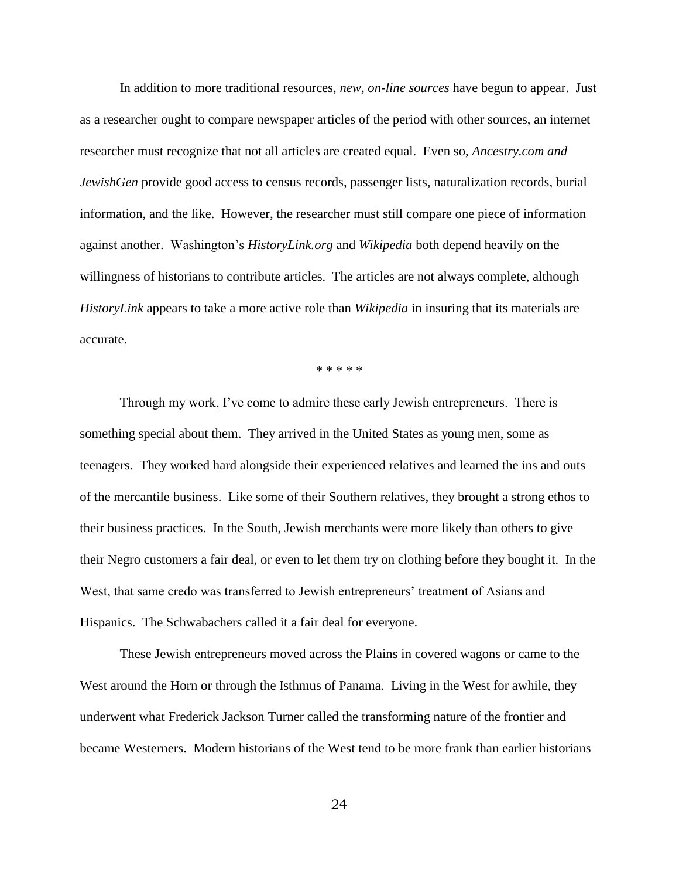In addition to more traditional resources, *new, on-line sources* have begun to appear. Just as a researcher ought to compare newspaper articles of the period with other sources, an internet researcher must recognize that not all articles are created equal. Even so, *Ancestry.com and JewishGen* provide good access to census records, passenger lists, naturalization records, burial information, and the like. However, the researcher must still compare one piece of information against another. Washington's *HistoryLink.org* and *Wikipedia* both depend heavily on the willingness of historians to contribute articles. The articles are not always complete, although *HistoryLink* appears to take a more active role than *Wikipedia* in insuring that its materials are accurate.

\* \* \* \* \*

Through my work, I've come to admire these early Jewish entrepreneurs. There is something special about them. They arrived in the United States as young men, some as teenagers. They worked hard alongside their experienced relatives and learned the ins and outs of the mercantile business. Like some of their Southern relatives, they brought a strong ethos to their business practices. In the South, Jewish merchants were more likely than others to give their Negro customers a fair deal, or even to let them try on clothing before they bought it. In the West, that same credo was transferred to Jewish entrepreneurs' treatment of Asians and Hispanics. The Schwabachers called it a fair deal for everyone.

These Jewish entrepreneurs moved across the Plains in covered wagons or came to the West around the Horn or through the Isthmus of Panama. Living in the West for awhile, they underwent what Frederick Jackson Turner called the transforming nature of the frontier and became Westerners. Modern historians of the West tend to be more frank than earlier historians